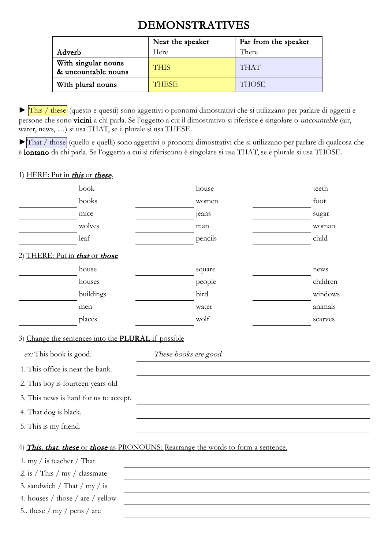## DEMONSTRATIVES

|                                            | Near the speaker | Far from the speaker |
|--------------------------------------------|------------------|----------------------|
| Adverb                                     | Here             | There                |
| With singular nouns<br>& uncountable nouns | <b>THIS</b>      | <b>THAT</b>          |
| With plural nouns                          | <b>THESE</b>     | <b>THOSE</b>         |

► This / these (questo e questi) sono aggettivi o pronomi dimostrativi che si utilizzano per parlare di oggetti e persone che sono vicini a chi parla. Se l'oggetto a cui il dimostrativo si riferisce è singolare o uncountable (air, water, news, …) si usa THAT, se è plurale si usa THESE.

►That / those (quello e quelli) sono aggettivi o pronomi dimostrativi che si utilizzano per parlare di qualcosa che è lontano da chi parla. Se l'oggetto a cui si riferiscono è singolare si usa THAT, se è plurale si usa THOSE.

## 1) HERE: Put in this or these.

| book                                                                                                                                                               | house                                                                              | teeth    |
|--------------------------------------------------------------------------------------------------------------------------------------------------------------------|------------------------------------------------------------------------------------|----------|
| books                                                                                                                                                              | women                                                                              | foot     |
| mice                                                                                                                                                               | jeans                                                                              | sugar    |
| wolves                                                                                                                                                             | man                                                                                | woman    |
| leaf                                                                                                                                                               | pencils                                                                            | child    |
| 2) THERE: Put in that or those                                                                                                                                     |                                                                                    |          |
| house                                                                                                                                                              | square                                                                             | news     |
| houses                                                                                                                                                             | people                                                                             | children |
| buildings                                                                                                                                                          | bird                                                                               | windows  |
| men                                                                                                                                                                | water                                                                              | animals  |
| places                                                                                                                                                             | wolf                                                                               | scarves  |
| ex: This book is good.<br>1. This office is near the bank.<br>2. This boy is fourteen years old<br>3. This news is hard for us to accept.<br>4. That dog is black. | These books are good.                                                              |          |
| 5. This is my friend.                                                                                                                                              |                                                                                    |          |
| 1. my $\frac{1}{1}$ is teacher $\frac{1}{1}$ That<br>2. is / This / $my /$ classmate<br>3. sandwich / That / my / is<br>4. houses / those / are / yellow           | 4) This, that, these or those as PRONOUNS: Rearrange the words to form a sentence. |          |
| 5 these $/my /$ pens $/$ are                                                                                                                                       |                                                                                    |          |